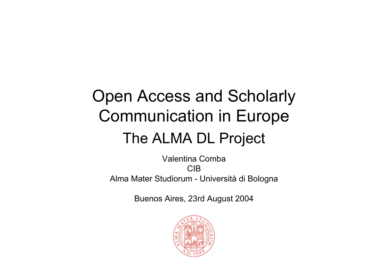# Open Access and Scholarly Communication in Europe The ALMA DL Project

Valentina CombaCIBAlma Mater Studiorum - Università di Bologna

Buenos Aires, 23rd August 2004

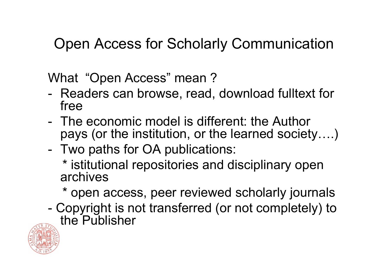### Open Access for Scholarly Communication

What "Open Access" mean ?

- Readers can browse, read, download fulltext for free
- -The economic model is different: the Author pays (or the institution, or the learned society….)
- Two paths for OA publications:

\* istitutional repositories and disciplinary open archives

\* open access, peer reviewed scholarly journals

- Copyright is not transferred (or not completely) to the Publisher

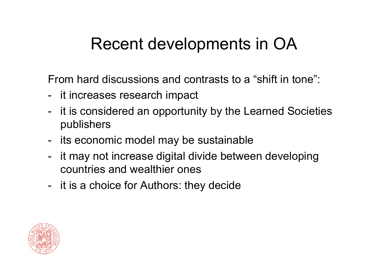## Recent developments in OA

From hard discussions and contrasts to a "shift in tone":

- it increases research impact
- it is considered an opportunity by the Learned Societies publishers
- its economic model may be sustainable
- it may not increase digital divide between developing countries and wealthier ones
- it is a choice for Authors: they decide

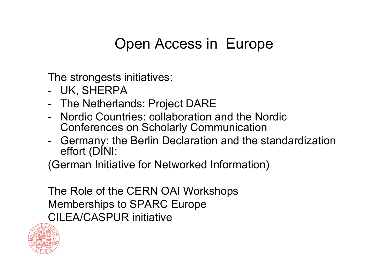### Open Access in Europe

The strongests initiatives:

- UK, SHERPA
- The Netherlands: Project DARE
- Nordic Countries: collaboration and the Nordic Conferences on Scholarly Communication
- Germany: the Berlin Declaration and the standardization effort (DINI:

(German Initiative for Networked Information)

The Role of the CERN OAI Workshops Memberships t o SPARC Europe CILEA/CASPUR initiative

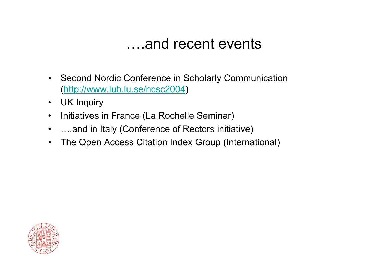#### ….and recent events

- $\bullet$  Second Nordic Conference in Scholarly Communication (<http://www.lub.lu.se/ncsc2004>)
- •UK Inquiry
- •• Initiatives in France (La Rochelle Seminar)
- •….and in Italy (Conference of Rectors initiative)
- •The Open Access Citation Index Group (International)

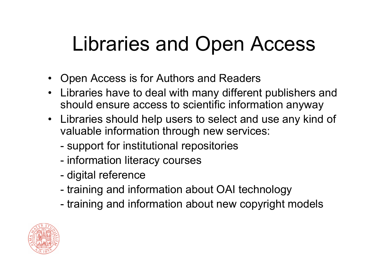# Libraries and Open Access

- Open Access is for Authors and Readers
- Libraries have to deal with many different publishers and should ensure access to scientific information anyway
- Libraries should help users to select and use any kind of valuable information through new services:
	- -- support for institutional repositories
	- information literacy courses
	- -- digital reference
	- training and information about OAI technology
	- training and information about new copyright models

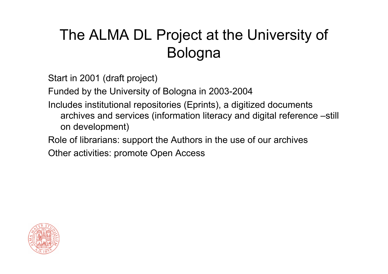## The ALMA DL Project at the University of Bologna

Start in 2001 (draft project)

Funded by the University of Bologna in 2003-2004

Includes institutional repositories (Eprints), a digitized documents archives and services (information literacy and digital reference –still on development)

Role of librarians: support the Authors in the use of our archives

Other activities: promote Open Access

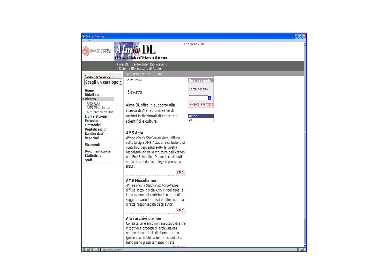| Ricerca - Netscape                                                                                                                                                                                                                                                                                                                                                                                    |                                                                                                                                                                                                                                                                                                              |                                                                               | $\Box$ |  |
|-------------------------------------------------------------------------------------------------------------------------------------------------------------------------------------------------------------------------------------------------------------------------------------------------------------------------------------------------------------------------------------------------------|--------------------------------------------------------------------------------------------------------------------------------------------------------------------------------------------------------------------------------------------------------------------------------------------------------------|-------------------------------------------------------------------------------|--------|--|
| 17 Agosto 2004<br>$\mathbf{I}$ <i>lm</i> $\boldsymbol{\omega}$ <i>DL</i><br>ALMA MATER STUDIORUM<br>UNIVERSITÀ DI BOLOGNA<br>Biblioteca Digitale dell'Università di Bologna                                                                                                                                                                                                                           |                                                                                                                                                                                                                                                                                                              |                                                                               |        |  |
| Alma-DL   Centro Inter-Bibliotecario<br>Sistema Bibliotecario di Ateneo                                                                                                                                                                                                                                                                                                                               |                                                                                                                                                                                                                                                                                                              |                                                                               |        |  |
| Accedi ai cataloghi:                                                                                                                                                                                                                                                                                                                                                                                  | Supporto   Rubrica   Cerca<br>Sei in: Ricerca                                                                                                                                                                                                                                                                | Ricerca rapida                                                                |        |  |
| Scegli un catalogo -<br>Home<br><b>Didattica</b><br><b><i><u>DRicerca</u></i></b><br><b>AMS Acta</b><br><b>AMS Miscellanea</b><br>Altri archivi on-line<br>Libri elettronici<br>Periodici<br>elettronici<br><b>Digitalizzazioni</b><br><b>Banche dati</b><br>Repertori<br><b>Strumenti</b><br><b>Documentazione</b><br><b>Statistiche</b><br><b>Staff</b><br><b>图 8 四 http://amsacta.cib.unibo.it</b> | Ricerca<br>Alma-DL offre in supporto alla<br>ricerca di Ateneo una serie di<br>archivi istituzionali di contributi<br>scientifici e culturali                                                                                                                                                                | Cerca nel sito<br>$\rightarrow$<br>Ricerca Avanzata<br>Azioni<br>$\triangleq$ |        |  |
|                                                                                                                                                                                                                                                                                                                                                                                                       | <b>AMS Acta</b><br>Almae Matris Studiorum Acta, diffusa<br>sotto la sigla AMS Acta, è la collezione di<br>contributi depositati sotto la diretta<br>responsabilità delle strutture dell'Ateneo<br>e di Enti Scientifici. Di questi contributi<br>verrà fatto il deposito legale presso la<br>BNCF.<br>Vai -> |                                                                               |        |  |
|                                                                                                                                                                                                                                                                                                                                                                                                       | <b>AMS Miscellanea</b><br>Almae Matris Studiorum Miscellanea,<br>diffusa sotto la sigla AMS Miscellanea, è<br>la collezione dei contributi culturali di<br>soggetto vario immessi e diffusi sotto la<br>diretta responsabiltà degli autori.<br>Vai ->                                                        |                                                                               |        |  |
|                                                                                                                                                                                                                                                                                                                                                                                                       | Altri archivi on-line<br>Consulta un elenco non esaustivo di altre<br>iniziative e progetti di archiviazione<br>on-line di contributi di ricerca, articoli<br>(pre e post pubblicazione) disponibili a<br>testo pieno gratuitamente in rete<br>$C$ ontinua                                                   |                                                                               | $E =$  |  |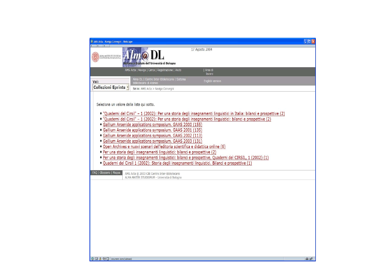| M AMS Acta - Naviga Convegni - Netscape                                                                                                                                                                                                                                                                                                                                                                                                                                                                                                                                                                                                                                                                                                                                                                                                                                                                                         | $\Box$ o $\times$ |  |  |  |
|---------------------------------------------------------------------------------------------------------------------------------------------------------------------------------------------------------------------------------------------------------------------------------------------------------------------------------------------------------------------------------------------------------------------------------------------------------------------------------------------------------------------------------------------------------------------------------------------------------------------------------------------------------------------------------------------------------------------------------------------------------------------------------------------------------------------------------------------------------------------------------------------------------------------------------|-------------------|--|--|--|
| 17 Agosto 2004<br>$lm@$ $DL$<br>ALMA MATER STUDIORUM<br>UN IVERSITÀ DI BOLOGNA<br>Biblioteca Digitale dell'Università di Bologna                                                                                                                                                                                                                                                                                                                                                                                                                                                                                                                                                                                                                                                                                                                                                                                                |                   |  |  |  |
| AMS Acta   Naviga   Cerca   Registrazione   Aiuto<br>Area di<br>lavoro                                                                                                                                                                                                                                                                                                                                                                                                                                                                                                                                                                                                                                                                                                                                                                                                                                                          |                   |  |  |  |
| Alma-DL   Centro Inter-Bibliotecario   Sistema<br>English version<br>Vai:<br>Bibliotecario di Ateneo                                                                                                                                                                                                                                                                                                                                                                                                                                                                                                                                                                                                                                                                                                                                                                                                                            |                   |  |  |  |
| Collezioni Eprints -<br>Sei in: AMS Acta > Naviga Convegni                                                                                                                                                                                                                                                                                                                                                                                                                                                                                                                                                                                                                                                                                                                                                                                                                                                                      |                   |  |  |  |
| Seleziona un valore dalla lista qui sotto.<br>• "Quaderni del Cirsil" - 1 (2002): Per una storia degli insegnamenti linguistici in Italia: bilanci e prospettive (2)<br>• "Quaderni del Cirsil" - 1 (2002): Per una storia degli insegnamenti linguistici: bilanci e prospettive (2)<br>· Gallium Arsenide applications symposium. GAAS 2000 (155)<br>· Gallium Arsenide applications symposium. GAAS 2001 (135)<br>· Gallium Arsenide applications symposium. GAAS 2002 (113)<br>· Gallium Arsenide applications symposium. GAAS 2003 (131)<br>· Open Archives e nuovi scenari dell'editoria scientifica e didattica online (6)<br>· Per una storia degli insegnamenti linguistici: bilanci e prospettive (2)<br>* Per una storia degli insegnamenti linguistici: bilanci e prospettive, Quaderni del CIRSIL, 1 (2002) (1)<br>· Quaderni del Cirsil 1 (2002): Storia degli insegnamenti linguistici. Bilanci e prospettive (1) |                   |  |  |  |
| FAQ   Glossario   Mappa<br>AMS Acta @ 2003 CIB Centro Inter-Bibliotecario<br>ALMA MATER STUDIORUM - Università di Bologna                                                                                                                                                                                                                                                                                                                                                                                                                                                                                                                                                                                                                                                                                                                                                                                                       |                   |  |  |  |
|                                                                                                                                                                                                                                                                                                                                                                                                                                                                                                                                                                                                                                                                                                                                                                                                                                                                                                                                 |                   |  |  |  |
| <b>9回及吗</b> Document: Done (0.08 secs)                                                                                                                                                                                                                                                                                                                                                                                                                                                                                                                                                                                                                                                                                                                                                                                                                                                                                          | $\pm$ f           |  |  |  |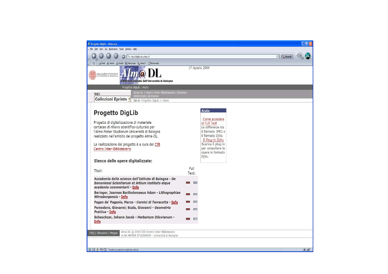| Progetto DigLib - Netscape                                                                                                                                                                                                                                                                                                                |                        | $\Box$ ex                                                                                                                                                                                     |  |  |  |
|-------------------------------------------------------------------------------------------------------------------------------------------------------------------------------------------------------------------------------------------------------------------------------------------------------------------------------------------|------------------------|-----------------------------------------------------------------------------------------------------------------------------------------------------------------------------------------------|--|--|--|
| File Edit View Go Bookmarks Tools Window Help                                                                                                                                                                                                                                                                                             |                        |                                                                                                                                                                                               |  |  |  |
| http://diglib.cib.unibo.it/                                                                                                                                                                                                                                                                                                               | <b>Q</b> , Search<br>o |                                                                                                                                                                                               |  |  |  |
| Mail Li Home n Radio My Netscape Q Search BBookmarks<br>旵,                                                                                                                                                                                                                                                                                |                        |                                                                                                                                                                                               |  |  |  |
| ALMA MATER STUDIORUM<br>UNIVERSITÀ DI BOLOGNA<br>Biblioteca Digitale dell'Università di Bologna                                                                                                                                                                                                                                           |                        | 17 Agosto 2004                                                                                                                                                                                |  |  |  |
| Progetto DigLib   Aiuto                                                                                                                                                                                                                                                                                                                   |                        |                                                                                                                                                                                               |  |  |  |
| Alma-DL   Centro Inter-Bibliotecario   Sistema<br>Vai:<br>Bibliotecario di Ateneo                                                                                                                                                                                                                                                         |                        |                                                                                                                                                                                               |  |  |  |
| <b>Collezioni Eprints -</b><br>Sei in: Progetto DigLib > Home                                                                                                                                                                                                                                                                             |                        |                                                                                                                                                                                               |  |  |  |
| <b>Progetto DigLib</b><br>Progetto di digitalizzazione di materiale<br>cartaceo di rilievo scientifico-culturale per<br>l'Alma Mater Studiorum Università di Bologna<br>realizzato nell'ambito del progetto Alma-DL.<br>La realizzazione del progetto è a cura del CIB<br>Centro Inter-Bibliotecario<br>Elenco delle opere digitalizzate: |                        | Aiuto<br>Come accedere<br>al Full Text<br>Le differenze tra<br>il formato JPEG e<br>il formato DjVu<br>Il Plug-in DjVu<br>Scarica il plug-in<br>per consultare le<br>opere in formato<br>DjVu |  |  |  |
| Titoli:                                                                                                                                                                                                                                                                                                                                   | Full<br>Text:          |                                                                                                                                                                                               |  |  |  |
| Accademia delle scienze dell'Istituto di Bologna - De<br>Bononiensi Scientiarum et Artium instituto atque<br>academia commentarii - Info                                                                                                                                                                                                  |                        | D/Vs                                                                                                                                                                                          |  |  |  |
| Beringer, Joannes Bartholomaeus Adam - Lithographiae<br>Wirceburgensis - Info                                                                                                                                                                                                                                                             | <b>JPEG</b><br>D/Ve    |                                                                                                                                                                                               |  |  |  |
| Pagan de' Paganis, Marco - Cornici di Terracotta - Info                                                                                                                                                                                                                                                                                   | DJVu<br><b>JPEG</b>    |                                                                                                                                                                                               |  |  |  |
| Pomodoro, Giovanni; Scala, Giovanni - Geometria<br>Prattica - Info                                                                                                                                                                                                                                                                        | <b>UPEG</b><br>[0.00]  |                                                                                                                                                                                               |  |  |  |
| Scheuchzer, Johann Jacob - Herbarium Diluvianum -<br><b>Info</b>                                                                                                                                                                                                                                                                          | <b>JPEG</b><br>D/Vs    |                                                                                                                                                                                               |  |  |  |
| Alma-DL @ 2003 CIB Centro Inter-Bibliotecario<br>FAQ   Glossario   Mappa<br>ALMA MATER STUDIORUM - Università di Bologna                                                                                                                                                                                                                  |                        |                                                                                                                                                                                               |  |  |  |
|                                                                                                                                                                                                                                                                                                                                           |                        |                                                                                                                                                                                               |  |  |  |
| <b>S A O A D Transferring data from digib.cib.unibo.it</b>                                                                                                                                                                                                                                                                                |                        | $2 - 1$                                                                                                                                                                                       |  |  |  |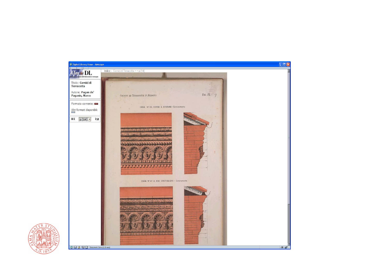

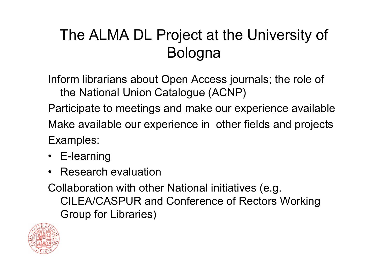## The ALMA DL Project at the University of Bologna

Inform librarians about Open Access journals; the role of the National Union Catalogue (ACNP)

Participate t o meetings and make our experience available Make available our experience in other fields and projects Examples:

- E-learning
- $\bullet$ Research evaluation

Collaboration with other National initiatives (e.g. CILEA/CASPUR and Conference of Rectors Working Group for Libraries)